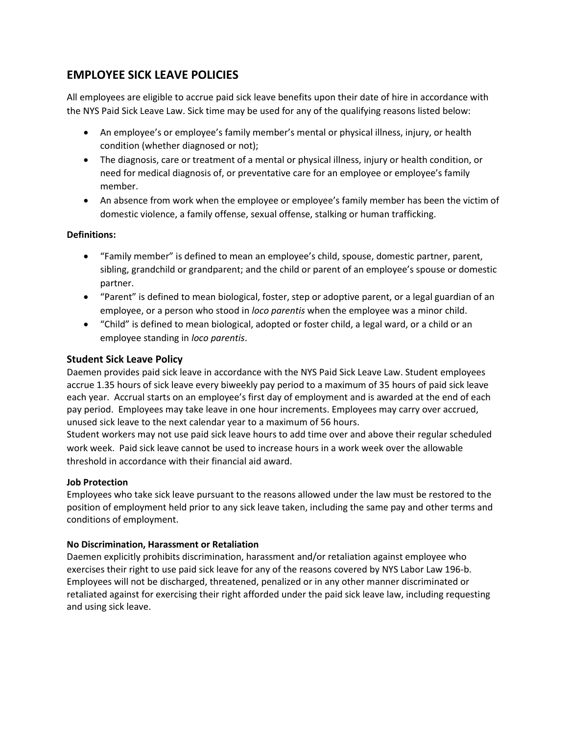# **EMPLOYEE SICK LEAVE POLICIES**

All employees are eligible to accrue paid sick leave benefits upon their date of hire in accordance with the NYS Paid Sick Leave Law. Sick time may be used for any of the qualifying reasons listed below:

- An employee's or employee's family member's mental or physical illness, injury, or health condition (whether diagnosed or not);
- The diagnosis, care or treatment of a mental or physical illness, injury or health condition, or need for medical diagnosis of, or preventative care for an employee or employee's family member.
- An absence from work when the employee or employee's family member has been the victim of domestic violence, a family offense, sexual offense, stalking or human trafficking.

## **Definitions:**

- "Family member" is defined to mean an employee's child, spouse, domestic partner, parent, sibling, grandchild or grandparent; and the child or parent of an employee's spouse or domestic partner.
- "Parent" is defined to mean biological, foster, step or adoptive parent, or a legal guardian of an employee, or a person who stood in *loco parentis* when the employee was a minor child.
- "Child" is defined to mean biological, adopted or foster child, a legal ward, or a child or an employee standing in *loco parentis*.

# **Student Sick Leave Policy**

Daemen provides paid sick leave in accordance with the NYS Paid Sick Leave Law. Student employees accrue 1.35 hours of sick leave every biweekly pay period to a maximum of 35 hours of paid sick leave each year. Accrual starts on an employee's first day of employment and is awarded at the end of each pay period. Employees may take leave in one hour increments. Employees may carry over accrued, unused sick leave to the next calendar year to a maximum of 56 hours.

Student workers may not use paid sick leave hours to add time over and above their regular scheduled work week. Paid sick leave cannot be used to increase hours in a work week over the allowable threshold in accordance with their financial aid award.

### **Job Protection**

Employees who take sick leave pursuant to the reasons allowed under the law must be restored to the position of employment held prior to any sick leave taken, including the same pay and other terms and conditions of employment.

### **No Discrimination, Harassment or Retaliation**

Daemen explicitly prohibits discrimination, harassment and/or retaliation against employee who exercises their right to use paid sick leave for any of the reasons covered by NYS Labor Law 196-b. Employees will not be discharged, threatened, penalized or in any other manner discriminated or retaliated against for exercising their right afforded under the paid sick leave law, including requesting and using sick leave.